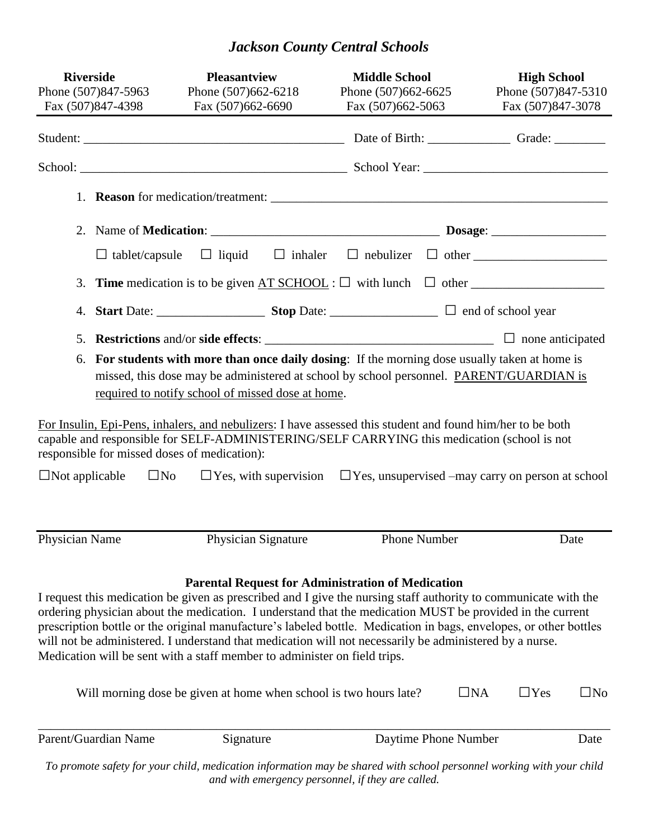# *Jackson County Central Schools*

| <b>Riverside</b><br>Phone (507)847-5963<br>Fax (507)847-4398 | <b>Pleasantview</b><br>Phone (507)662-6218<br>Fax (507)662-6690                                                                                                                                                                                                                                                                                                                                                                                                                                                                                                                                                | <b>Middle School</b><br>Phone (507)662-6625<br>Fax (507)662-5063 | <b>High School</b><br>Phone (507)847-5310<br>Fax (507)847-3078                       |
|--------------------------------------------------------------|----------------------------------------------------------------------------------------------------------------------------------------------------------------------------------------------------------------------------------------------------------------------------------------------------------------------------------------------------------------------------------------------------------------------------------------------------------------------------------------------------------------------------------------------------------------------------------------------------------------|------------------------------------------------------------------|--------------------------------------------------------------------------------------|
|                                                              |                                                                                                                                                                                                                                                                                                                                                                                                                                                                                                                                                                                                                |                                                                  |                                                                                      |
|                                                              |                                                                                                                                                                                                                                                                                                                                                                                                                                                                                                                                                                                                                |                                                                  |                                                                                      |
|                                                              |                                                                                                                                                                                                                                                                                                                                                                                                                                                                                                                                                                                                                |                                                                  |                                                                                      |
|                                                              |                                                                                                                                                                                                                                                                                                                                                                                                                                                                                                                                                                                                                |                                                                  |                                                                                      |
| $\Box$ tablet/capsule                                        |                                                                                                                                                                                                                                                                                                                                                                                                                                                                                                                                                                                                                |                                                                  |                                                                                      |
| 3.                                                           | <b>Time</b> medication is to be given $AT$ SCHOOL : $\Box$ with lunch $\Box$ other $\Box$                                                                                                                                                                                                                                                                                                                                                                                                                                                                                                                      |                                                                  |                                                                                      |
| 4.                                                           |                                                                                                                                                                                                                                                                                                                                                                                                                                                                                                                                                                                                                |                                                                  |                                                                                      |
| 5.<br>6.                                                     | For students with more than once daily dosing: If the morning dose usually taken at home is<br>missed, this dose may be administered at school by school personnel. PARENT/GUARDIAN is<br>required to notify school of missed dose at home.                                                                                                                                                                                                                                                                                                                                                                    |                                                                  |                                                                                      |
| responsible for missed doses of medication):                 | For Insulin, Epi-Pens, inhalers, and nebulizers: I have assessed this student and found him/her to be both<br>capable and responsible for SELF-ADMINISTERING/SELF CARRYING this medication (school is not                                                                                                                                                                                                                                                                                                                                                                                                      |                                                                  |                                                                                      |
| $\Box$ Not applicable                                        | $\square$ No                                                                                                                                                                                                                                                                                                                                                                                                                                                                                                                                                                                                   |                                                                  | $\Box$ Yes, with supervision $\Box$ Yes, unsupervised –may carry on person at school |
| Physician Name                                               | Physician Signature                                                                                                                                                                                                                                                                                                                                                                                                                                                                                                                                                                                            | <b>Phone Number</b>                                              | Date                                                                                 |
|                                                              | I request this medication be given as prescribed and I give the nursing staff authority to communicate with the<br>ordering physician about the medication. I understand that the medication MUST be provided in the current<br>prescription bottle or the original manufacture's labeled bottle. Medication in bags, envelopes, or other bottles<br>will not be administered. I understand that medication will not necessarily be administered by a nurse.<br>Medication will be sent with a staff member to administer on field trips.<br>Will morning dose be given at home when school is two hours late? | <b>Parental Request for Administration of Medication</b>         | $\Box$ na<br>$\Box$ Yes<br>$\Box$ No                                                 |
|                                                              |                                                                                                                                                                                                                                                                                                                                                                                                                                                                                                                                                                                                                |                                                                  |                                                                                      |
| Parent/Guardian Name                                         | Signature                                                                                                                                                                                                                                                                                                                                                                                                                                                                                                                                                                                                      | Daytime Phone Number                                             | Date                                                                                 |
|                                                              | To promote safety for your child, medication information may be shared with school personnel working with your child                                                                                                                                                                                                                                                                                                                                                                                                                                                                                           | and with emergency personnel, if they are called.                |                                                                                      |